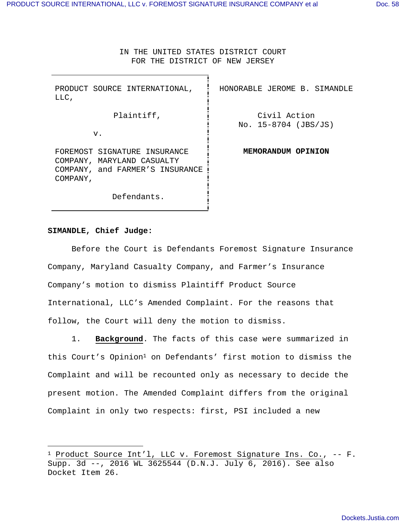IN THE UNITED STATES DISTRICT COURT FOR THE DISTRICT OF NEW JERSEY

| PRODUCT SOURCE INTERNATIONAL,<br>LLC,                                                                     | HONORABLE JEROME B. SIMANDLE           |
|-----------------------------------------------------------------------------------------------------------|----------------------------------------|
| Plaintiff,                                                                                                | Civil Action<br>No. $15-8704$ (JBS/JS) |
| v.                                                                                                        |                                        |
| FOREMOST SIGNATURE INSURANCE<br>COMPANY, MARYLAND CASUALTY<br>COMPANY, and FARMER'S INSURANCE<br>COMPANY, | MEMORANDUM OPINION                     |
| Defendants.                                                                                               |                                        |

## **SIMANDLE, Chief Judge:**

 Before the Court is Defendants Foremost Signature Insurance Company, Maryland Casualty Company, and Farmer's Insurance Company's motion to dismiss Plaintiff Product Source International, LLC's Amended Complaint. For the reasons that follow, the Court will deny the motion to dismiss.

1. **Background**. The facts of this case were summarized in this Court's Opinion<sup>1</sup> on Defendants' first motion to dismiss the Complaint and will be recounted only as necessary to decide the present motion. The Amended Complaint differs from the original Complaint in only two respects: first, PSI included a new

<sup>&</sup>lt;sup>1</sup> Product Source Int'l, LLC v. Foremost Signature Ins. Co., -- F. Supp. 3d --, 2016 WL 3625544 (D.N.J. July 6, 2016). See also Docket Item 26.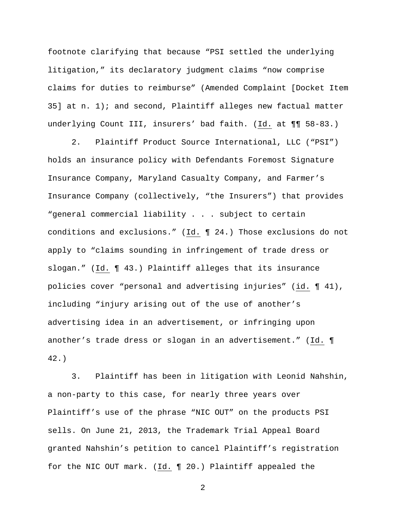footnote clarifying that because "PSI settled the underlying litigation," its declaratory judgment claims "now comprise claims for duties to reimburse" (Amended Complaint [Docket Item 35] at n.  $1$ ); and second, Plaintiff alleges new factual matter underlying Count III, insurers' bad faith. (Id. at ¶¶ 58-83.)

2. Plaintiff Product Source International, LLC ("PSI") holds an insurance policy with Defendants Foremost Signature Insurance Company, Maryland Casualty Company, and Farmer's Insurance Company (collectively, "the Insurers") that provides "general commercial liability . . . subject to certain conditions and exclusions." (Id. ¶ 24.) Those exclusions do not apply to "claims sounding in infringement of trade dress or slogan." (Id. ¶ 43.) Plaintiff alleges that its insurance policies cover "personal and advertising injuries" (id. ¶ 41), including "injury arising out of the use of another's advertising idea in an advertisement, or infringing upon another's trade dress or slogan in an advertisement." (Id. ¶ 42.)

3. Plaintiff has been in litigation with Leonid Nahshin, a non-party to this case, for nearly three years over Plaintiff's use of the phrase "NIC OUT" on the products PSI sells. On June 21, 2013, the Trademark Trial Appeal Board granted Nahshin's petition to cancel Plaintiff's registration for the NIC OUT mark. (Id. ¶ 20.) Plaintiff appealed the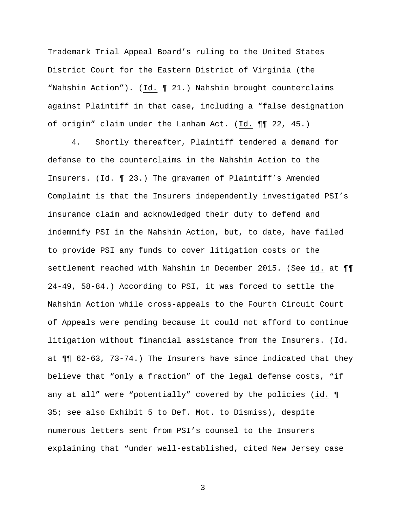Trademark Trial Appeal Board's ruling to the United States District Court for the Eastern District of Virginia (the "Nahshin Action"). (Id. ¶ 21.) Nahshin brought counterclaims against Plaintiff in that case, including a "false designation of origin" claim under the Lanham Act. (Id. ¶¶ 22, 45.)

4. Shortly thereafter, Plaintiff tendered a demand for defense to the counterclaims in the Nahshin Action to the Insurers. (Id. ¶ 23.) The gravamen of Plaintiff's Amended Complaint is that the Insurers independently investigated PSI's insurance claim and acknowledged their duty to defend and indemnify PSI in the Nahshin Action, but, to date, have failed to provide PSI any funds to cover litigation costs or the settlement reached with Nahshin in December 2015. (See id. at ¶¶ 24-49, 58-84.) According to PSI, it was forced to settle the Nahshin Action while cross-appeals to the Fourth Circuit Court of Appeals were pending because it could not afford to continue litigation without financial assistance from the Insurers. (Id. at ¶¶ 62-63, 73-74.) The Insurers have since indicated that they believe that "only a fraction" of the legal defense costs, "if any at all" were "potentially" covered by the policies (id. ¶ 35; see also Exhibit 5 to Def. Mot. to Dismiss), despite numerous letters sent from PSI's counsel to the Insurers explaining that "under well-established, cited New Jersey case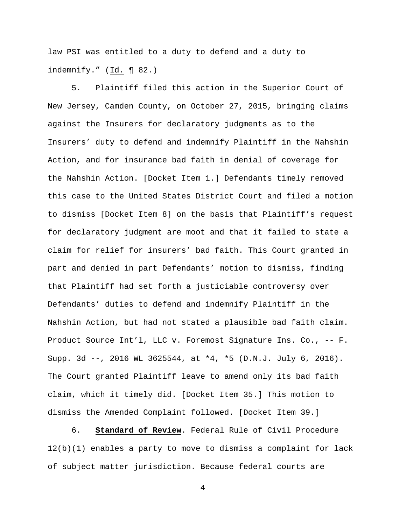law PSI was entitled to a duty to defend and a duty to indemnify." (Id. ¶ 82.)

5. Plaintiff filed this action in the Superior Court of New Jersey, Camden County, on October 27, 2015, bringing claims against the Insurers for declaratory judgments as to the Insurers' duty to defend and indemnify Plaintiff in the Nahshin Action, and for insurance bad faith in denial of coverage for the Nahshin Action. [Docket Item 1.] Defendants timely removed this case to the United States District Court and filed a motion to dismiss [Docket Item 8] on the basis that Plaintiff's request for declaratory judgment are moot and that it failed to state a claim for relief for insurers' bad faith. This Court granted in part and denied in part Defendants' motion to dismiss, finding that Plaintiff had set forth a justiciable controversy over Defendants' duties to defend and indemnify Plaintiff in the Nahshin Action, but had not stated a plausible bad faith claim. Product Source Int'l, LLC v. Foremost Signature Ins. Co., -- F. Supp. 3d --, 2016 WL 3625544, at \*4, \*5 (D.N.J. July 6, 2016). The Court granted Plaintiff leave to amend only its bad faith claim, which it timely did. [Docket Item 35.] This motion to dismiss the Amended Complaint followed. [Docket Item 39.]

6. **Standard of Review**. Federal Rule of Civil Procedure 12(b)(1) enables a party to move to dismiss a complaint for lack of subject matter jurisdiction. Because federal courts are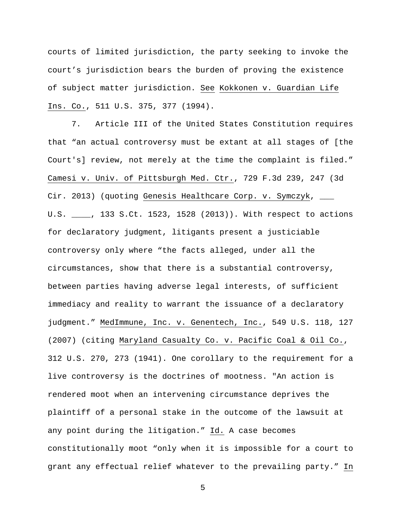courts of limited jurisdiction, the party seeking to invoke the court's jurisdiction bears the burden of proving the existence of subject matter jurisdiction. See Kokkonen v. Guardian Life Ins. Co., 511 U.S. 375, 377 (1994).

7. Article III of the United States Constitution requires that "an actual controversy must be extant at all stages of [the Court's] review, not merely at the time the complaint is filed." Camesi v. Univ. of Pittsburgh Med. Ctr., 729 F.3d 239, 247 (3d Cir. 2013) (quoting Genesis Healthcare Corp. v. Symczyk, \_\_\_ U.S. \_\_\_\_, 133 S.Ct. 1523, 1528 (2013)). With respect to actions for declaratory judgment, litigants present a justiciable controversy only where "the facts alleged, under all the circumstances, show that there is a substantial controversy, between parties having adverse legal interests, of sufficient immediacy and reality to warrant the issuance of a declaratory judgment." MedImmune, Inc. v. Genentech, Inc., 549 U.S. 118, 127 (2007) (citing Maryland Casualty Co. v. Pacific Coal & Oil Co., 312 U.S. 270, 273 (1941). One corollary to the requirement for a live controversy is the doctrines of mootness. "An action is rendered moot when an intervening circumstance deprives the plaintiff of a personal stake in the outcome of the lawsuit at any point during the litigation." Id. A case becomes constitutionally moot "only when it is impossible for a court to grant any effectual relief whatever to the prevailing party." In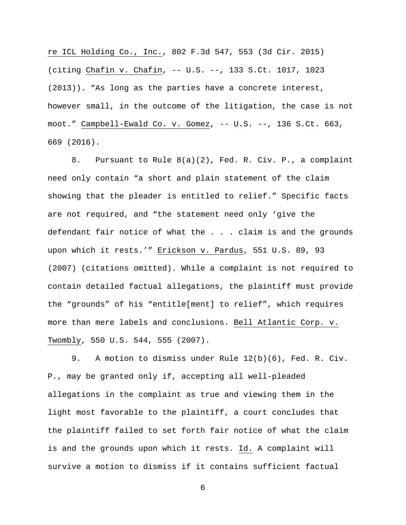re ICL Holding Co., Inc., 802 F.3d 547, 553 (3d Cir. 2015) (citing Chafin v. Chafin, -- U.S. --, 133 S.Ct. 1017, 1023 (2013)). "As long as the parties have a concrete interest, however small, in the outcome of the litigation, the case is not moot." Campbell-Ewald Co. v. Gomez, -- U.S. --, 136 S.Ct. 663, 669 (2016).

8. Pursuant to Rule 8(a)(2), Fed. R. Civ. P., a complaint need only contain "a short and plain statement of the claim showing that the pleader is entitled to relief." Specific facts are not required, and "the statement need only 'give the defendant fair notice of what the . . . claim is and the grounds upon which it rests.'" Erickson v. Pardus, 551 U.S. 89, 93 (2007) (citations omitted). While a complaint is not required to contain detailed factual allegations, the plaintiff must provide the "grounds" of his "entitle[ment] to relief", which requires more than mere labels and conclusions. Bell Atlantic Corp. v. Twombly, 550 U.S. 544, 555 (2007).

9. A motion to dismiss under Rule 12(b)(6), Fed. R. Civ. P., may be granted only if, accepting all well-pleaded allegations in the complaint as true and viewing them in the light most favorable to the plaintiff, a court concludes that the plaintiff failed to set forth fair notice of what the claim is and the grounds upon which it rests. Id. A complaint will survive a motion to dismiss if it contains sufficient factual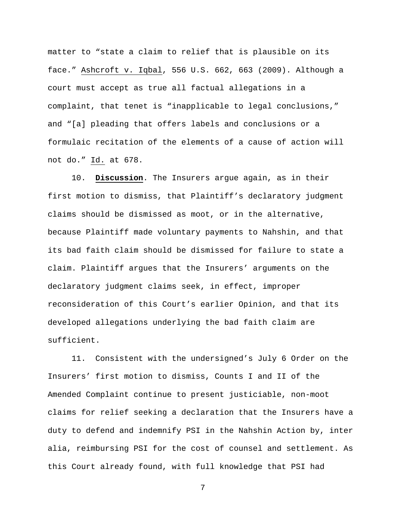matter to "state a claim to relief that is plausible on its face." Ashcroft v. Iqbal, 556 U.S. 662, 663 (2009). Although a court must accept as true all factual allegations in a complaint, that tenet is "inapplicable to legal conclusions," and "[a] pleading that offers labels and conclusions or a formulaic recitation of the elements of a cause of action will not do." Id. at 678.

10. **Discussion**. The Insurers argue again, as in their first motion to dismiss, that Plaintiff's declaratory judgment claims should be dismissed as moot, or in the alternative, because Plaintiff made voluntary payments to Nahshin, and that its bad faith claim should be dismissed for failure to state a claim. Plaintiff argues that the Insurers' arguments on the declaratory judgment claims seek, in effect, improper reconsideration of this Court's earlier Opinion, and that its developed allegations underlying the bad faith claim are sufficient.

11. Consistent with the undersigned's July 6 Order on the Insurers' first motion to dismiss, Counts I and II of the Amended Complaint continue to present justiciable, non-moot claims for relief seeking a declaration that the Insurers have a duty to defend and indemnify PSI in the Nahshin Action by, inter alia, reimbursing PSI for the cost of counsel and settlement. As this Court already found, with full knowledge that PSI had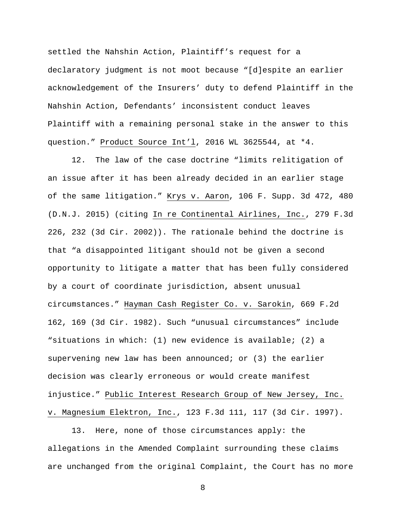settled the Nahshin Action, Plaintiff's request for a declaratory judgment is not moot because "[d]espite an earlier acknowledgement of the Insurers' duty to defend Plaintiff in the Nahshin Action, Defendants' inconsistent conduct leaves Plaintiff with a remaining personal stake in the answer to this question." Product Source Int'l, 2016 WL 3625544, at \*4.

12. The law of the case doctrine "limits relitigation of an issue after it has been already decided in an earlier stage of the same litigation." Krys v. Aaron, 106 F. Supp. 3d 472, 480 (D.N.J. 2015) (citing In re Continental Airlines, Inc., 279 F.3d 226, 232 (3d Cir. 2002)). The rationale behind the doctrine is that "a disappointed litigant should not be given a second opportunity to litigate a matter that has been fully considered by a court of coordinate jurisdiction, absent unusual circumstances." Hayman Cash Register Co. v. Sarokin, 669 F.2d 162, 169 (3d Cir. 1982). Such "unusual circumstances" include "situations in which: (1) new evidence is available; (2) a supervening new law has been announced; or  $(3)$  the earlier decision was clearly erroneous or would create manifest injustice." Public Interest Research Group of New Jersey, Inc. v. Magnesium Elektron, Inc., 123 F.3d 111, 117 (3d Cir. 1997).

13. Here, none of those circumstances apply: the allegations in the Amended Complaint surrounding these claims are unchanged from the original Complaint, the Court has no more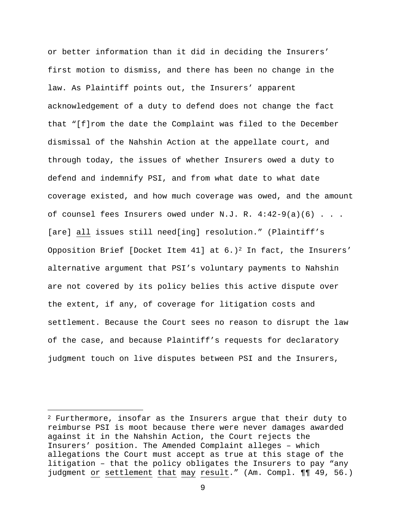or better information than it did in deciding the Insurers' first motion to dismiss, and there has been no change in the law. As Plaintiff points out, the Insurers' apparent acknowledgement of a duty to defend does not change the fact that "[f]rom the date the Complaint was filed to the December dismissal of the Nahshin Action at the appellate court, and through today, the issues of whether Insurers owed a duty to defend and indemnify PSI, and from what date to what date coverage existed, and how much coverage was owed, and the amount of counsel fees Insurers owed under N.J. R.  $4:42-9(a)(6)$ ... [are] all issues still need[ing] resolution." (Plaintiff's Opposition Brief [Docket Item 41] at  $6.$ )<sup>2</sup> In fact, the Insurers' alternative argument that PSI's voluntary payments to Nahshin are not covered by its policy belies this active dispute over the extent, if any, of coverage for litigation costs and settlement. Because the Court sees no reason to disrupt the law of the case, and because Plaintiff's requests for declaratory judgment touch on live disputes between PSI and the Insurers,

 $2$  Furthermore, insofar as the Insurers argue that their duty to reimburse PSI is moot because there were never damages awarded against it in the Nahshin Action, the Court rejects the Insurers' position. The Amended Complaint alleges – which allegations the Court must accept as true at this stage of the litigation – that the policy obligates the Insurers to pay "any judgment or settlement that may result." (Am. Compl. ¶¶ 49, 56.)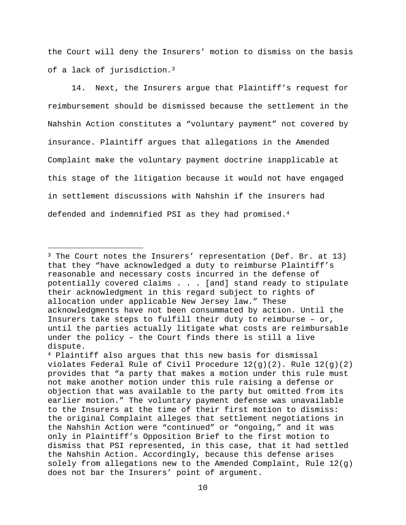the Court will deny the Insurers' motion to dismiss on the basis of a lack of jurisdiction.<sup>3</sup>

14. Next, the Insurers argue that Plaintiff's request for reimbursement should be dismissed because the settlement in the Nahshin Action constitutes a "voluntary payment" not covered by insurance. Plaintiff argues that allegations in the Amended Complaint make the voluntary payment doctrine inapplicable at this stage of the litigation because it would not have engaged in settlement discussions with Nahshin if the insurers had defended and indemnified PSI as they had promised.<sup>4</sup>

i

<sup>&</sup>lt;sup>3</sup> The Court notes the Insurers' representation (Def. Br. at 13) that they "have acknowledged a duty to reimburse Plaintiff's reasonable and necessary costs incurred in the defense of potentially covered claims . . . [and] stand ready to stipulate their acknowledgment in this regard subject to rights of allocation under applicable New Jersey law." These acknowledgments have not been consummated by action. Until the Insurers take steps to fulfill their duty to reimburse – or, until the parties actually litigate what costs are reimbursable under the policy – the Court finds there is still a live dispute.

<sup>4</sup> Plaintiff also argues that this new basis for dismissal violates Federal Rule of Civil Procedure 12(g)(2). Rule 12(g)(2) provides that "a party that makes a motion under this rule must not make another motion under this rule raising a defense or objection that was available to the party but omitted from its earlier motion." The voluntary payment defense was unavailable to the Insurers at the time of their first motion to dismiss: the original Complaint alleges that settlement negotiations in the Nahshin Action were "continued" or "ongoing," and it was only in Plaintiff's Opposition Brief to the first motion to dismiss that PSI represented, in this case, that it had settled the Nahshin Action. Accordingly, because this defense arises solely from allegations new to the Amended Complaint, Rule  $12(q)$ does not bar the Insurers' point of argument.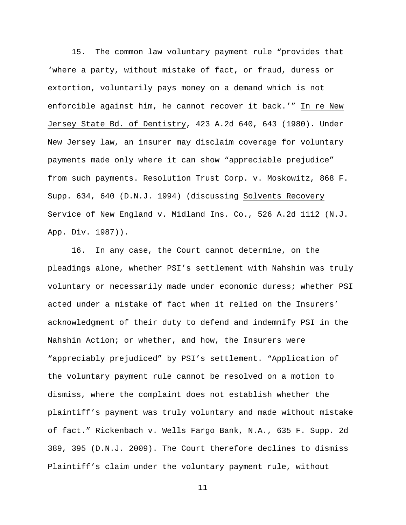15. The common law voluntary payment rule "provides that 'where a party, without mistake of fact, or fraud, duress or extortion, voluntarily pays money on a demand which is not enforcible against him, he cannot recover it back.'" In re New Jersey State Bd. of Dentistry, 423 A.2d 640, 643 (1980). Under New Jersey law, an insurer may disclaim coverage for voluntary payments made only where it can show "appreciable prejudice" from such payments. Resolution Trust Corp. v. Moskowitz, 868 F. Supp. 634, 640 (D.N.J. 1994) (discussing Solvents Recovery Service of New England v. Midland Ins. Co., 526 A.2d 1112 (N.J. App. Div. 1987)).

16. In any case, the Court cannot determine, on the pleadings alone, whether PSI's settlement with Nahshin was truly voluntary or necessarily made under economic duress; whether PSI acted under a mistake of fact when it relied on the Insurers' acknowledgment of their duty to defend and indemnify PSI in the Nahshin Action; or whether, and how, the Insurers were "appreciably prejudiced" by PSI's settlement. "Application of the voluntary payment rule cannot be resolved on a motion to dismiss, where the complaint does not establish whether the plaintiff's payment was truly voluntary and made without mistake of fact." Rickenbach v. Wells Fargo Bank, N.A., 635 F. Supp. 2d 389, 395 (D.N.J. 2009). The Court therefore declines to dismiss Plaintiff's claim under the voluntary payment rule, without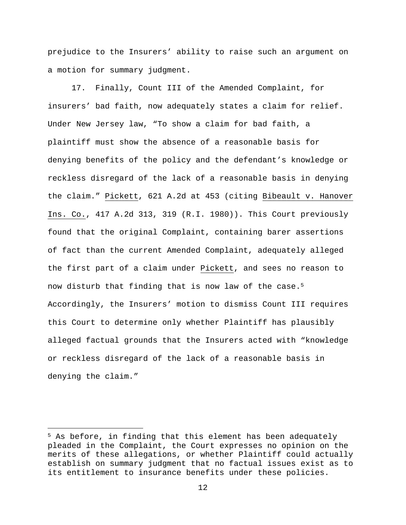prejudice to the Insurers' ability to raise such an argument on a motion for summary judgment.

17. Finally, Count III of the Amended Complaint, for insurers' bad faith, now adequately states a claim for relief. Under New Jersey law, "To show a claim for bad faith, a plaintiff must show the absence of a reasonable basis for denying benefits of the policy and the defendant's knowledge or reckless disregard of the lack of a reasonable basis in denying the claim." Pickett, 621 A.2d at 453 (citing Bibeault v. Hanover Ins. Co., 417 A.2d 313, 319 (R.I. 1980)). This Court previously found that the original Complaint, containing barer assertions of fact than the current Amended Complaint, adequately alleged the first part of a claim under Pickett, and sees no reason to now disturb that finding that is now law of the case.<sup>5</sup> Accordingly, the Insurers' motion to dismiss Count III requires this Court to determine only whether Plaintiff has plausibly alleged factual grounds that the Insurers acted with "knowledge or reckless disregard of the lack of a reasonable basis in denying the claim."

i

<sup>5</sup> As before, in finding that this element has been adequately pleaded in the Complaint, the Court expresses no opinion on the merits of these allegations, or whether Plaintiff could actually establish on summary judgment that no factual issues exist as to its entitlement to insurance benefits under these policies.